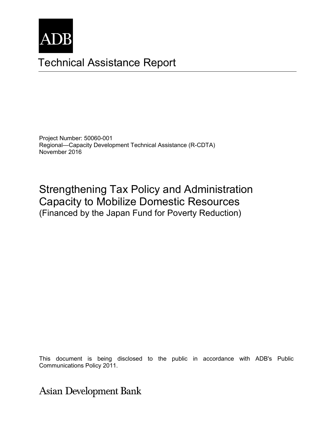

# Technical Assistance Report

Project Number: 50060-001 Regional—Capacity Development Technical Assistance (R-CDTA) November 2016

Strengthening Tax Policy and Administration Capacity to Mobilize Domestic Resources (Financed by the Japan Fund for Poverty Reduction)

This document is being disclosed to the public in accordance with ADB's Public Communications Policy 2011.

**Asian Development Bank**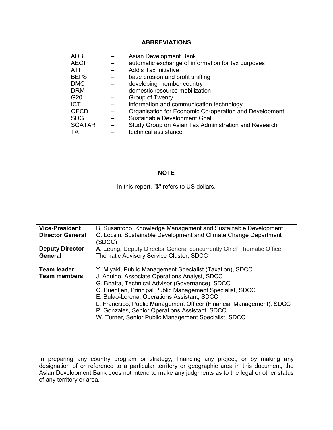#### **ABBREVIATIONS**

| <b>ADB</b>      |   | Asian Development Bank                                 |
|-----------------|---|--------------------------------------------------------|
| <b>AEOI</b>     |   | automatic exchange of information for tax purposes     |
| ATI             |   | <b>Addis Tax Initiative</b>                            |
| <b>BEPS</b>     |   | base erosion and profit shifting                       |
| <b>DMC</b>      |   | developing member country                              |
| <b>DRM</b>      |   | domestic resource mobilization                         |
| G <sub>20</sub> |   | Group of Twenty                                        |
| <b>ICT</b>      |   | information and communication technology               |
| <b>OECD</b>     |   | Organisation for Economic Co-operation and Development |
| <b>SDG</b>      |   | Sustainable Development Goal                           |
| <b>SGATAR</b>   | — | Study Group on Asian Tax Administration and Research   |
| TА              |   | technical assistance                                   |

#### **NOTE**

In this report, "\$" refers to US dollars.

| <b>Vice-President</b>   | B. Susantono, Knowledge Management and Sustainable Development         |
|-------------------------|------------------------------------------------------------------------|
| <b>Director General</b> | C. Locsin, Sustainable Development and Climate Change Department       |
|                         | (SDCC)                                                                 |
| <b>Deputy Director</b>  | A. Leung, Deputy Director General concurrently Chief Thematic Officer, |
| General                 | <b>Thematic Advisory Service Cluster, SDCC</b>                         |
|                         |                                                                        |
| <b>Team leader</b>      | Y. Miyaki, Public Management Specialist (Taxation), SDCC               |
| <b>Team members</b>     | J. Aquino, Associate Operations Analyst, SDCC                          |
|                         | G. Bhatta, Technical Advisor (Governance), SDCC                        |
|                         | C. Buentien, Principal Public Management Specialist, SDCC              |
|                         | E. Bulao-Lorena, Operations Assistant, SDCC                            |
|                         | L. Francisco, Public Management Officer (Financial Management), SDCC   |
|                         | P. Gonzales, Senior Operations Assistant, SDCC                         |
|                         | W. Turner, Senior Public Management Specialist, SDCC                   |

In preparing any country program or strategy, financing any project, or by making any designation of or reference to a particular territory or geographic area in this document, the Asian Development Bank does not intend to make any judgments as to the legal or other status of any territory or area.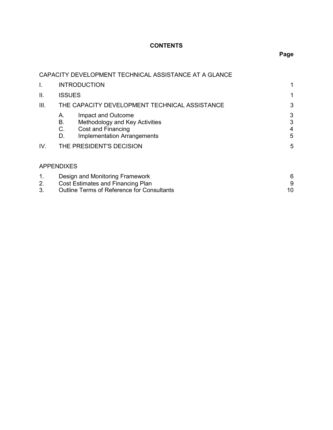# **CONTENTS**

# **Page**

|          | CAPACITY DEVELOPMENT TECHNICAL ASSISTANCE AT A GLANCE                                                                                           |                  |  |
|----------|-------------------------------------------------------------------------------------------------------------------------------------------------|------------------|--|
| I.       | <b>INTRODUCTION</b>                                                                                                                             |                  |  |
| Ш.       | <b>ISSUES</b>                                                                                                                                   |                  |  |
| III.     | THE CAPACITY DEVELOPMENT TECHNICAL ASSISTANCE                                                                                                   | 3                |  |
|          | Impact and Outcome<br>Α.<br>В.<br>Methodology and Key Activities<br><b>Cost and Financing</b><br>C.<br><b>Implementation Arrangements</b><br>D. | 3<br>3<br>4<br>5 |  |
| IV.      | THE PRESIDENT'S DECISION                                                                                                                        | 5                |  |
|          | <b>APPENDIXES</b>                                                                                                                               |                  |  |
| 1.<br>2. | Design and Monitoring Framework<br>Cost Estimates and Financing Plan                                                                            | 6<br>9           |  |
| 3.       | Outline Terms of Reference for Consultants                                                                                                      | 10               |  |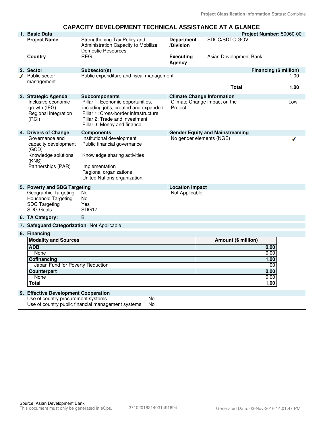#### **CAPACITY DEVELOPMENT TECHNICAL ASSISTANCE AT A GLANCE**

| 1. Basic Data                                                                           |                                                                                                                                                                                     |                                | Project Number: 50060-001              |      |  |
|-----------------------------------------------------------------------------------------|-------------------------------------------------------------------------------------------------------------------------------------------------------------------------------------|--------------------------------|----------------------------------------|------|--|
| <b>Project Name</b>                                                                     | Strengthening Tax Policy and<br>Administration Capacity to Mobilize<br><b>Domestic Resources</b>                                                                                    | <b>Department</b><br>/Division | SDCC/SDTC-GOV                          |      |  |
| Country                                                                                 | <b>RFG</b>                                                                                                                                                                          | <b>Executing</b><br>Agency     | Asian Development Bank                 |      |  |
| 2. Sector                                                                               | Subsector(s)                                                                                                                                                                        |                                | Financing (\$ million)                 |      |  |
| $\sqrt{ }$ Public sector                                                                | Public expenditure and fiscal management                                                                                                                                            |                                |                                        | 1.00 |  |
| management                                                                              |                                                                                                                                                                                     |                                | <b>Total</b>                           | 1.00 |  |
| 3. Strategic Agenda                                                                     | <b>Subcomponents</b>                                                                                                                                                                |                                | <b>Climate Change Information</b>      |      |  |
| Inclusive economic<br>growth (IEG)<br>Regional integration<br>(RCI)                     | Pillar 1: Economic opportunities,<br>including jobs, created and expanded<br>Pillar 1: Cross-border infrastructure<br>Pillar 2: Trade and investment<br>Pillar 3: Money and finance | Project                        | Climate Change impact on the           | Low  |  |
| 4. Drivers of Change                                                                    | <b>Components</b>                                                                                                                                                                   |                                | <b>Gender Equity and Mainstreaming</b> |      |  |
| Governance and<br>capacity development<br>(GCD)                                         | Institutional development<br>Public financial governance                                                                                                                            |                                | No gender elements (NGE)               |      |  |
| Knowledge solutions<br>(KNS)                                                            | Knowledge sharing activities                                                                                                                                                        |                                |                                        |      |  |
| Partnerships (PAR)                                                                      | Implementation<br>Regional organizations<br>United Nations organization                                                                                                             |                                |                                        |      |  |
| 5. Poverty and SDG Targeting                                                            |                                                                                                                                                                                     | <b>Location Impact</b>         |                                        |      |  |
| Geographic Targeting<br>Household Targeting<br><b>SDG Targeting</b><br><b>SDG Goals</b> | No.<br><b>No</b><br>Yes<br>SDG17                                                                                                                                                    | Not Applicable                 |                                        |      |  |
| 6. TA Category:                                                                         | B                                                                                                                                                                                   |                                |                                        |      |  |
| 7. Safeguard Categorization Not Applicable                                              |                                                                                                                                                                                     |                                |                                        |      |  |
| 8. Financing                                                                            |                                                                                                                                                                                     |                                |                                        |      |  |
| <b>Modality and Sources</b>                                                             |                                                                                                                                                                                     |                                | Amount (\$ million)                    |      |  |
| <b>ADB</b>                                                                              |                                                                                                                                                                                     |                                | 0.00                                   |      |  |
| None                                                                                    |                                                                                                                                                                                     |                                | 0.00                                   |      |  |
| Cofinancing                                                                             |                                                                                                                                                                                     |                                | 1.00                                   |      |  |
| Japan Fund for Poverty Reduction                                                        |                                                                                                                                                                                     |                                | 1.00                                   |      |  |
| Counterpart                                                                             |                                                                                                                                                                                     |                                | 0.00                                   |      |  |
| <b>None</b>                                                                             |                                                                                                                                                                                     |                                | 0.00                                   |      |  |
| Total                                                                                   |                                                                                                                                                                                     |                                | 1.00                                   |      |  |
| 9. Effective Development Cooperation                                                    |                                                                                                                                                                                     |                                |                                        |      |  |
| Use of country procurement systems                                                      | <b>No</b>                                                                                                                                                                           |                                |                                        |      |  |
| Use of country public financial management systems<br>No                                |                                                                                                                                                                                     |                                |                                        |      |  |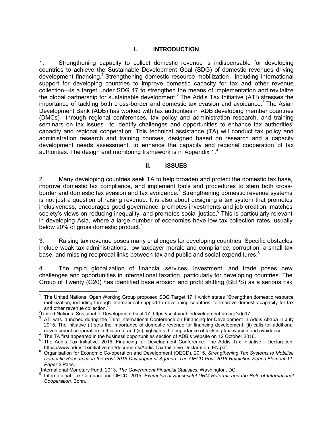## **I. INTRODUCTION**

1. Strengthening capacity to collect domestic revenue is indispensable for developing countries to achieve the Sustainable Development Goal (SDG) of domestic revenues driving development financing.<sup>1</sup> Strengthening domestic resource mobilization—including international support for developing countries to improve domestic capacity for tax and other revenue collection—is a target under SDG 17 to strengthen the means of implementation and revitalize the global partnership for sustainable development.<sup>2</sup> The Addis Tax Initiative (ATI) stresses the importance of tackling both cross-border and domestic tax evasion and avoidance.<sup>3</sup> The Asian Development Bank (ADB) has worked with tax authorities in ADB developing member countries (DMCs)—through regional conferences, tax policy and administration research, and training seminars on tax issues—to identify challenges and opportunities to enhance tax authorities' capacity and regional cooperation. This technical assistance (TA) will conduct tax policy and administration research and training courses, designed based on research and a capacity development needs assessment, to enhance the capacity and regional cooperation of tax authorities. The design and monitoring framework is in Appendix 1.<sup>4</sup>

#### **II. ISSUES**

2. Many developing countries seek TA to help broaden and protect the domestic tax base, improve domestic tax compliance, and implement tools and procedures to stem both crossborder and domestic tax evasion and tax avoidance.<sup>5</sup> Strengthening domestic revenue systems is not just a question of raising revenue. It is also about designing a tax system that promotes inclusiveness, encourages good governance, promotes investments and job creation, matches society's views on reducing inequality, and promotes social justice.<sup>6</sup> This is particularly relevant in developing Asia, where a large number of economies have low tax collection rates, usually below 20% of gross domestic product.<sup>7</sup>

3. Raising tax revenue poses many challenges for developing countries. Specific obstacles include weak tax administrations, low taxpayer morale and compliance, corruption, a small tax base, and missing reciprocal links between tax and public and social expenditures.<sup>8</sup>

4. The rapid globalization of financial services, investment, and trade poses new challenges and opportunities in international taxation, particularly for developing countries. The Group of Twenty (G20) has identified base erosion and profit shifting (BEPS) as a serious risk

 $4<sup>4</sup>$  The TA first appeared in the business opportunities section of ADB's website on 12 October 2016.

 $\frac{1}{2}$ <sup>1</sup> The United Nations Open Working Group proposed SDG Target 17.1 which states "Strengthen domestic resource mobilization, including through international support to developing countries, to improve domestic capacity for tax and other revenue collection."

<sup>&</sup>lt;sup>2</sup>United Nations. Sustainable Development Goal 17. https://sustainabledevelopment.un.org/sdg17

<sup>3</sup> ATI was launched during the Third International Conference on Financing for Development in Addis Ababa in July 2015. The initiative (i) sets the importance of domestic revenue for financing development, (ii) calls for additional development cooperation in this area, and (iii) highlights the importance of tackling tax evasion and avoidance.

<sup>5</sup> The Addis Tax Initiative. 2015. Financing for Development Conference: The Addis Tax Initiative.—Declaration. https://www.addistaxinitiative.net/documents/Addis-Tax-Initiative Declaration\_EN.pdf.

<sup>6</sup> Organisation for Economic Co-operation and Development (OECD). 2015. *Strengthening Tax Systems to Mobilise Domestic Resources in the Post-2015 Development Agenda*. *The OECD Post-2015 Refelction Series.Element 11, Paper 2.*Paris.

<sup>&</sup>lt;sup>7</sup>International Monetary Fund. 2013. The Government Financial Statistics. Washington, DC.<br><sup>8</sup> International Tax Compact and OECD, 2015. Examples of Successful DRM Referme and

International Tax Compact and OECD. 2015. *Examples of Successful DRM Reforms and the Role of International Cooperation.* Bonn.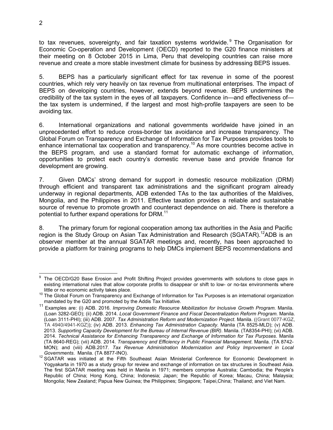to tax revenues, sovereignty, and fair taxation systems worldwide.<sup>9</sup> The Organisation for Economic Co-operation and Development (OECD) reported to the G20 finance ministers at their meeting on 8 October 2015 in Lima, Peru that developing countries can raise more revenue and create a more stable investment climate for business by addressing BEPS issues.

5. BEPS has a particularly significant effect for tax revenue in some of the poorest countries, which rely very heavily on tax revenue from multinational enterprises. The impact of BEPS on developing countries, however, extends beyond revenue. BEPS undermines the credibility of the tax system in the eyes of all taxpayers. Confidence in—and effectiveness of the tax system is undermined, if the largest and most high-profile taxpayers are seen to be avoiding tax.

6. International organizations and national governments worldwide have joined in an unprecedented effort to reduce cross-border tax avoidance and increase transparency. The Global Forum on Transparency and Exchange of Information for Tax Purposes provides tools to enhance international tax cooperation and transparency.<sup>10</sup> As more countries become active in the BEPS program, and use a standard format for automatic exchange of information, opportunities to protect each country's domestic revenue base and provide finance for development are growing.

7. Given DMCs' strong demand for support in domestic resource mobilization (DRM) through efficient and transparent tax administrations and the significant program already underway in regional departments, ADB extended TAs to the tax authorities of the Maldives, Mongolia, and the Philippines in 2011. Effective taxation provides a reliable and sustainable source of revenue to promote growth and counteract dependence on aid. There is therefore a potential to further expand operations for DRM.<sup>11</sup>

8. The primary forum for regional cooperation among tax authorities in the Asia and Pacific region is the Study Group on Asian Tax Administration and Research (SGATAR).<sup>12</sup>ADB is an observer member at the annual SGATAR meetings and, recently, has been approached to provide a platform for training programs to help DMCs implement BEPS recommendations and

 $\overline{a}$ 9 The OECD/G20 Base Erosion and Profit Shifting Project provides governments with solutions to close gaps in existing international rules that allow corporate profits to disappear or shift to low- or no-tax environments where little or no economic activity takes place.

<sup>&</sup>lt;sup>10</sup> The Global Forum on Transparency and Exchange of Information for Tax Purposes is an international organization mandated by the G20 and promoted by the Addis Tax Initiative.

<sup>11</sup> Examples are: (i) ADB. 2016. *Improving Domestic Resource Mobilization for Inclusive Growth Program*. Manila. (Loan 3282-GEO); (ii) ADB. 2014. *Local Government Finance and Fiscal Decentralization Reform Program*. Manila. (Loan 3111-PHI); (iii) ADB. 2007. *Tax Administration Reform and Modernization Project*. Manila. ((Grant 0077-KGZ, TA 4940/4941-KGZ)); (iv) ADB. 2013. *Enhancing Tax Administration Capacity.* Manila (TA 8525-MLD); (v) ADB. 2013. *Supporting Capacity Development for the Bureau of Internal Revenue (BIR)*. Manila. (TA8354-PHI); (vi) ADB. 2014. *Technical Assistance for Enhancing Transparency and Exchange of Information for Tax Purposes*. Manila (TA 8640-REG); (vii) ADB. 2014. *Transparency and Efficiency in Public Financial Management*. Manila. (TA 8742- MON); and (viii) ADB.2017*. Tax Revenue Administration Modernization and Policy Improvement in Local Governments*. Manila. (TA 8877-INO).

 $12$  SGATAR was initiated at the Fifth Southeast Asian Ministerial Conference for Economic Development in Yogyakarta in 1970 as a study group for review and exchange of information on tax structures in Southeast Asia. The first SGATAR meeting was held in Manila in 1971; members comprise Australia; Cambodia; the People's Republic of China; Hong Kong, China; Indonesia; Japan; the Republic of Korea; Macau, China; Malaysia; Mongolia; New Zealand; Papua New Guinea; the Philippines; Singapore; Taipei,China; Thailand; and Viet Nam.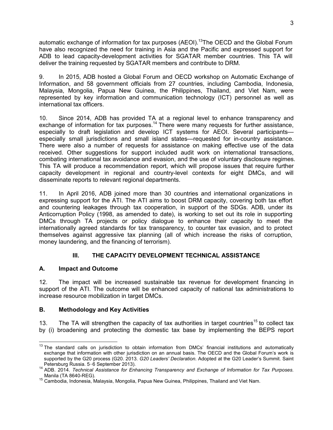automatic exchange of information for tax purposes (AEOI).<sup>13</sup>The OECD and the Global Forum have also recognized the need for training in Asia and the Pacific and expressed support for ADB to lead capacity-development activities for SGATAR member countries. This TA will deliver the training requested by SGATAR members and contribute to DRM.

9. In 2015, ADB hosted a Global Forum and OECD workshop on Automatic Exchange of Information, and 58 government officials from 27 countries, including Cambodia, Indonesia, Malaysia, Mongolia, Papua New Guinea, the Philippines, Thailand, and Viet Nam, were represented by key information and communication technology (ICT) personnel as well as international tax officers.

10. Since 2014, ADB has provided TA at a regional level to enhance transparency and exchange of information for tax purposes.<sup>14</sup> There were many requests for further assistance, especially to draft legislation and develop ICT systems for AEOI. Several participants especially small jurisdictions and small island states—requested for in-country assistance. There were also a number of requests for assistance on making effective use of the data received. Other suggestions for support included audit work on international transactions, combating international tax avoidance and evasion, and the use of voluntary disclosure regimes. This TA will produce a recommendation report, which will propose issues that require further capacity development in regional and country-level contexts for eight DMCs, and will disseminate reports to relevant regional departments.

11. In April 2016, ADB joined more than 30 countries and international organizations in expressing support for the ATI. The ATI aims to boost DRM capacity, covering both tax effort and countering leakages through tax cooperation, in support of the SDGs. ADB, under its Anticorruption Policy (1998, as amended to date), is working to set out its role in supporting DMCs through TA projects or policy dialogue to enhance their capacity to meet the internationally agreed standards for tax transparency, to counter tax evasion, and to protect themselves against aggressive tax planning (all of which increase the risks of corruption, money laundering, and the financing of terrorism).

# **III. THE CAPACITY DEVELOPMENT TECHNICAL ASSISTANCE**

# **A. Impact and Outcome**

12. The impact will be increased sustainable tax revenue for development financing in support of the ATI. The outcome will be enhanced capacity of national tax administrations to increase resource mobilization in target DMCs.

# **B. Methodology and Key Activities**

13. The TA will strengthen the capacity of tax authorities in target countries<sup>15</sup> to collect tax by (i) broadening and protecting the domestic tax base by implementing the BEPS report

supported by the G20 process (G20. 2013. *G20 Leaders' Declaration*. Adopted at the G20 Leader's Summit. Saint **Cause of ADB's Contempler** 2013)  $\overline{1}$ <sup>13</sup> The standard calls on jurisdiction to obtain information from DMCs' financial institutions and automatically exchange that information with other jurisdiction on an annual basis. The OECD and the Global Forum's work is Petersburg Russia. 5−6 September 2013).

<sup>1</sup> Cicrisbarg Russia. 5 6 September 2015).<br><sup>14</sup> ADB. 2014. *Technical Assistance for Enhancing Transparency and Exchange of Information for Tax Purposes.* Manila (TA 8640-REG).

<sup>15</sup> Cambodia, Indonesia, Malaysia, Mongolia, Papua New Guinea, Philippines, Thailand and Viet Nam.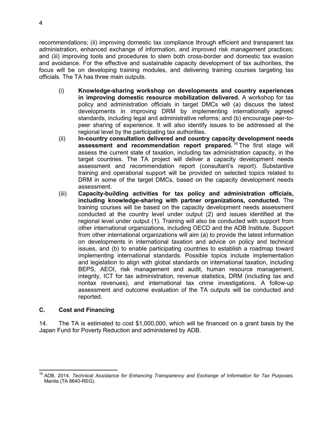recommendations; (ii) improving domestic tax compliance through efficient and transparent tax administration, enhanced exchange of information, and improved risk management practices; and (iii) improving tools and procedures to stem both cross-border and domestic tax evasion and avoidance. For the effective and sustainable capacity development of tax authorities, the focus will be on developing training modules, and delivering training courses targeting tax officials. The TA has three main outputs.

- (i) **Knowledge-sharing workshop on developments and country experiences in improving domestic resource mobilization delivered.** A workshop for tax policy and administration officials in target DMCs will (a) discuss the latest developments in improving DRM by implementing internationally agreed standards, including legal and administrative reforms; and (b) encourage peer-topeer sharing of experience. It will also identify issues to be addressed at the regional level by the participating tax authorities.
- (ii) **In-country consultation delivered and country capacity development needs assessment and recommendation report prepared.** <sup>16</sup> The first stage will assess the current state of taxation, including tax administration capacity, in the target countries. The TA project will deliver a capacity development needs assessment and recommendation report (consultant's report). Substantive training and operational support will be provided on selected topics related to DRM in some of the target DMCs, based on the capacity development needs assessment.
- (iii) **Capacity-building activities for tax policy and administration officials, including knowledge-sharing with partner organizations, conducted.** The training courses will be based on the capacity development needs assessment conducted at the country level under output (2) and issues identified at the regional level under output (1). Training will also be conducted with support from other international organizations, including OECD and the ADB Institute. Support from other international organizations will aim (a) to provide the latest information on developments in international taxation and advice on policy and technical issues, and (b) to enable participating countries to establish a roadmap toward implementing international standards. Possible topics include implementation and legislation to align with global standards on international taxation, including BEPS, AEOI, risk management and audit, human resource management, integrity, ICT for tax administration, revenue statistics, DRM (including tax and nontax revenues), and international tax crime investigations. A follow-up assessment and outcome evaluation of the TA outputs will be conducted and reported.

## **C. Cost and Financing**

14. The TA is estimated to cost \$1,000,000, which will be financed on a grant basis by the Japan Fund for Poverty Reduction and administered by ADB.

 $\overline{a}$ <sup>16</sup> ADB. 2014. *Technical Assistance for Enhancing Transparency and Exchange of Information for Tax Purposes*. Manila (TA 8640-REG).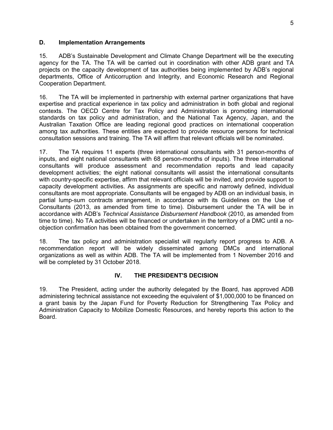#### **D. Implementation Arrangements**

15. ADB's Sustainable Development and Climate Change Department will be the executing agency for the TA. The TA will be carried out in coordination with other ADB grant and TA projects on the capacity development of tax authorities being implemented by ADB's regional departments, Office of Anticorruption and Integrity, and Economic Research and Regional Cooperation Department.

16. The TA will be implemented in partnership with external partner organizations that have expertise and practical experience in tax policy and administration in both global and regional contexts. The OECD Centre for Tax Policy and Administration is promoting international standards on tax policy and administration, and the National Tax Agency, Japan, and the Australian Taxation Office are leading regional good practices on international cooperation among tax authorities. These entities are expected to provide resource persons for technical consultation sessions and training. The TA will affirm that relevant officials will be nominated.

17. The TA requires 11 experts (three international consultants with 31 person-months of inputs, and eight national consultants with 68 person-months of inputs). The three international consultants will produce assessment and recommendation reports and lead capacity development activities; the eight national consultants will assist the international consultants with country-specific expertise, affirm that relevant officials will be invited, and provide support to capacity development activities. As assignments are specific and narrowly defined, individual consultants are most appropriate. Consultants will be engaged by ADB on an individual basis, in partial lump-sum contracts arrangement, in accordance with its Guidelines on the Use of Consultants (2013, as amended from time to time). Disbursement under the TA will be in accordance with ADB's *Technical Assistance Disbursement Handbook* (2010, as amended from time to time). No TA activities will be financed or undertaken in the territory of a DMC until a noobjection confirmation has been obtained from the government concerned.

18. The tax policy and administration specialist will regularly report progress to ADB. A recommendation report will be widely disseminated among DMCs and international organizations as well as within ADB. The TA will be implemented from 1 November 2016 and will be completed by 31 October 2018.

#### **IV. THE PRESIDENT'S DECISION**

19. The President, acting under the authority delegated by the Board, has approved ADB administering technical assistance not exceeding the equivalent of \$1,000,000 to be financed on a grant basis by the Japan Fund for Poverty Reduction for Strengthening Tax Policy and Administration Capacity to Mobilize Domestic Resources, and hereby reports this action to the Board.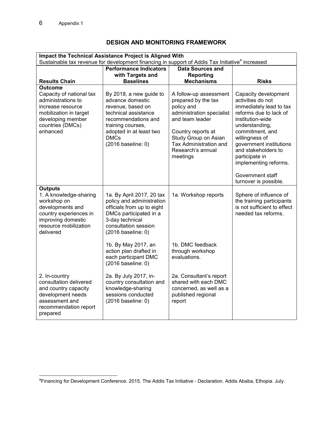# **DESIGN AND MONITORING FRAMEWORK**

| Impact the Technical Assistance Project is Aligned With<br>Sustainable tax revenue for development financing in support of Addis Tax Initiative <sup>a</sup> increased |                                                                                                                                                                                                                                                                                |                                                                                                                                                                                                                      |                                                                                                                                                                                                                                                                                                                     |  |
|------------------------------------------------------------------------------------------------------------------------------------------------------------------------|--------------------------------------------------------------------------------------------------------------------------------------------------------------------------------------------------------------------------------------------------------------------------------|----------------------------------------------------------------------------------------------------------------------------------------------------------------------------------------------------------------------|---------------------------------------------------------------------------------------------------------------------------------------------------------------------------------------------------------------------------------------------------------------------------------------------------------------------|--|
|                                                                                                                                                                        | <b>Performance Indicators</b>                                                                                                                                                                                                                                                  | <b>Data Sources and</b>                                                                                                                                                                                              |                                                                                                                                                                                                                                                                                                                     |  |
| <b>Results Chain</b>                                                                                                                                                   | with Targets and<br><b>Baselines</b>                                                                                                                                                                                                                                           | Reporting<br><b>Mechanisms</b>                                                                                                                                                                                       | <b>Risks</b>                                                                                                                                                                                                                                                                                                        |  |
| Outcome                                                                                                                                                                |                                                                                                                                                                                                                                                                                |                                                                                                                                                                                                                      |                                                                                                                                                                                                                                                                                                                     |  |
| Capacity of national tax<br>administrations to<br>increase resource<br>mobilization in target<br>developing member<br>countries (DMCs)<br>enhanced                     | By 2018, a new guide to<br>advance domestic<br>revenue, based on<br>technical assistance<br>recommendations and<br>training courses,<br>adopted in at least two<br><b>DMCs</b><br>(2016 baseline: 0)                                                                           | A follow-up assessment<br>prepared by the tax<br>policy and<br>administration specialist<br>and team leader<br>Country reports at<br>Study Group on Asian<br>Tax Administration and<br>Research's annual<br>meetings | Capacity development<br>activities do not<br>immediately lead to tax<br>reforms due to lack of<br>institution-wide<br>understanding,<br>commitment, and<br>willingness of<br>government institutions<br>and stakeholders to<br>participate in<br>implementing reforms.<br>Government staff<br>turnover is possible. |  |
| <b>Outputs</b><br>1. A knowledge-sharing<br>workshop on<br>developments and<br>country experiences in<br>improving domestic<br>resource mobilization<br>delivered      | 1a. By April 2017, 20 tax<br>policy and administration<br>officials from up to eight<br>DMCs participated in a<br>3-day technical<br>consultation session<br>(2016 baseline: 0)<br>1b. By May 2017, an<br>action plan drafted in<br>each participant DMC<br>(2016 baseline: 0) | 1a. Workshop reports<br>1b. DMC feedback<br>through workshop<br>evaluations.                                                                                                                                         | Sphere of influence of<br>the training participants<br>is not sufficient to effect<br>needed tax reforms.                                                                                                                                                                                                           |  |
| 2. In-country<br>consultation delivered<br>and country capacity<br>development needs<br>assessment and<br>recommendation report<br>prepared                            | 2a. By July 2017, in-<br>country consultation and<br>knowledge-sharing<br>sessions conducted<br>(2016 baseline: 0)                                                                                                                                                             | 2a. Consultant's report<br>shared with each DMC<br>concerned, as well as a<br>published regional<br>report                                                                                                           |                                                                                                                                                                                                                                                                                                                     |  |

and and the Development Conference. 2015. The Addis Tax Initiative - Declaration. Addis Ababa, Ethopia. July.<br><sup>a</sup>Financing for Development Conference. 2015. The Addis Tax Initiative - Declaration. Addis Ababa, Ethopia. Jul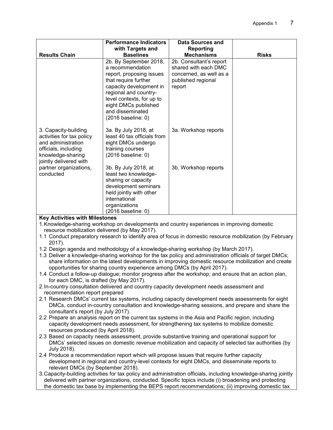|                                                                                                                                                | <b>Performance Indicators</b><br>with Targets and                                                                                                                                                                                                 | <b>Data Sources and</b><br><b>Reporting</b>                                                                |              |  |
|------------------------------------------------------------------------------------------------------------------------------------------------|---------------------------------------------------------------------------------------------------------------------------------------------------------------------------------------------------------------------------------------------------|------------------------------------------------------------------------------------------------------------|--------------|--|
| <b>Results Chain</b>                                                                                                                           | <b>Baselines</b>                                                                                                                                                                                                                                  | <b>Mechanisms</b>                                                                                          | <b>Risks</b> |  |
|                                                                                                                                                | 2b. By September 2018,<br>a recommendation<br>report, proposing issues<br>that require further<br>capacity development in<br>regional and country-<br>level contexts, for up to<br>eight DMCs published<br>and disseminated<br>(2016 baseline: 0) | 2b. Consultant's report<br>shared with each DMC<br>concerned, as well as a<br>published regional<br>report |              |  |
| 3. Capacity-building<br>activities for tax policy<br>and administration<br>officials, including<br>knowledge-sharing<br>jointly delivered with | 3a. By July 2018, at<br>least 40 tax officials from<br>eight DMCs undergo<br>training courses<br>(2016 baseline: 0)                                                                                                                               | 3a. Workshop reports                                                                                       |              |  |
| partner organizations,<br>conducted                                                                                                            | 3b. By July 2018, at<br>least two knowledge-<br>sharing or capacity<br>development seminars<br>held jointly with other<br>international<br>organizations<br>(2016 baseline: 0)                                                                    | 3b. Workshop reports                                                                                       |              |  |
| <b>Key Activities with Milestones</b>                                                                                                          |                                                                                                                                                                                                                                                   |                                                                                                            |              |  |

# **Key Activities with Milestones**

- 1. Knowledge-sharing workshop on developments and country experiences in improving domestic resource mobilization delivered (by May 2017).
- 1.1 Conduct preparatory research to identify area of focus in domestic resource mobilization (by February 2017).
- 1.2 Design agenda and methodology of a knowledge-sharing workshop (by March 2017).
- 1.3 Deliver a knowledge-sharing workshop for the tax policy and administration officials of target DMCs; share information on the latest developments in improving domestic resource mobilization and create opportunities for sharing country experience among DMCs (by April 2017).
- 1.4 Conduct a follow-up dialogue; monitor progress after the workshop; and ensure that an action plan, for each DMC, is drafted (by May 2017).
- 2. In-country consultation delivered and country capacity development needs assessment and recommendation report prepared
- 2.1 Research DMCs' current tax systems, including capacity development needs assessments for eight DMCs, conduct in-country consultation and knowledge-sharing sessions, and prepare and share the consultant's report (by July 2017).
- 2.2 Prepare an analysis report on the current tax systems in the Asia and Pacific region, including capacity development needs assessment, for strengthening tax systems to mobilize domestic resources produced (by April 2018).
- 2.3 Based on capacity needs assessment, provide substantive training and operational support for DMCs' selected issues on domestic revenue mobilization and capacity of selected tax authorities (by July 2018).
- 2.4 Produce a recommendation report which will propose issues that require further capacity development in regional and country-level contexts for eight DMCs, and disseminate reports to relevant DMCs (by September 2018).
- 3. Capacity-building activities for tax policy and administration officials, including knowledge-sharing jointly delivered with partner organizations, conducted. Specific topics include (i) broadening and protecting the domestic tax base by implementing the BEPS report recommendations; (ii) improving domestic tax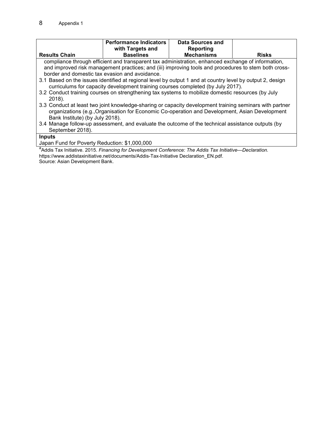|                                                                                                                      | <b>Performance Indicators</b>                                                                             | Data Sources and  |              |  |
|----------------------------------------------------------------------------------------------------------------------|-----------------------------------------------------------------------------------------------------------|-------------------|--------------|--|
|                                                                                                                      | with Targets and                                                                                          | Reporting         |              |  |
| <b>Results Chain</b>                                                                                                 | <b>Baselines</b>                                                                                          | <b>Mechanisms</b> | <b>Risks</b> |  |
|                                                                                                                      | compliance through efficient and transparent tax administration, enhanced exchange of information,        |                   |              |  |
|                                                                                                                      | and improved risk management practices; and (iii) improving tools and procedures to stem both cross-      |                   |              |  |
|                                                                                                                      | border and domestic tax evasion and avoidance.                                                            |                   |              |  |
|                                                                                                                      | 3.1 Based on the issues identified at regional level by output 1 and at country level by output 2, design |                   |              |  |
|                                                                                                                      | curriculums for capacity development training courses completed (by July 2017).                           |                   |              |  |
|                                                                                                                      | 3.2 Conduct training courses on strengthening tax systems to mobilize domestic resources (by July         |                   |              |  |
| 2018).                                                                                                               |                                                                                                           |                   |              |  |
| 3.3 Conduct at least two joint knowledge-sharing or capacity development training seminars with partner              |                                                                                                           |                   |              |  |
|                                                                                                                      | organizations (e.g., Organisation for Economic Co-operation and Development, Asian Development            |                   |              |  |
| Bank Institute) (by July 2018).                                                                                      |                                                                                                           |                   |              |  |
| 3.4 Manage follow-up assessment, and evaluate the outcome of the technical assistance outputs (by                    |                                                                                                           |                   |              |  |
| September 2018).                                                                                                     |                                                                                                           |                   |              |  |
| <b>Inputs</b>                                                                                                        |                                                                                                           |                   |              |  |
| Japan Fund for Poverty Reduction: \$1,000,000                                                                        |                                                                                                           |                   |              |  |
| <sup>a</sup> Addis Tax Initiative. 2015. Financing for Development Conference: The Addis Tax Initiative—Declaration. |                                                                                                           |                   |              |  |
| https://www.addistaxinitiative.net/documents/Addis-Tax-Initiative Declaration EN.pdf.                                |                                                                                                           |                   |              |  |

Source: Asian Development Bank.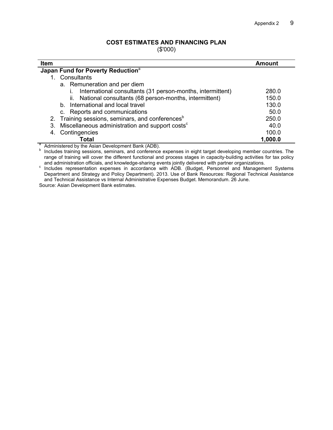## **COST ESTIMATES AND FINANCING PLAN**

(\$'000)

| <b>Item</b>                                                       | Amount  |  |  |  |
|-------------------------------------------------------------------|---------|--|--|--|
| Japan Fund for Poverty Reduction <sup>a</sup>                     |         |  |  |  |
| 1. Consultants                                                    |         |  |  |  |
| a. Remuneration and per diem                                      |         |  |  |  |
| International consultants (31 person-months, intermittent)        | 280.0   |  |  |  |
| ii. National consultants (68 person-months, intermittent)         | 150.0   |  |  |  |
| b. International and local travel                                 | 130.0   |  |  |  |
| c. Reports and communications                                     | 50.0    |  |  |  |
| 2. Training sessions, seminars, and conferences <sup>b</sup>      | 250.0   |  |  |  |
| Miscellaneous administration and support costs <sup>c</sup><br>3. | 40.0    |  |  |  |
| Contingencies                                                     | 100.0   |  |  |  |
| Total<br>$\sim$                                                   | 1,000.0 |  |  |  |

<sup>a</sup> Administered by the Asian Development Bank (ADB).

**b** Includes training sessions, seminars, and conference expenses in eight target developing member countries. The range of training will cover the different functional and process stages in capacity-building activities for tax policy and administration officials, and knowledge-sharing events jointly delivered with partner organizations.

c Includes representation expenses in accordance with ADB. (Budget, Personnel and Management Systems Department and Strategy and Policy Department). 2013. Use of Bank Resources: Regional Technical Assistance and Technical Assistance vs Internal Administrative Expenses Budget. Memorandum. 26 June.

Source: Asian Development Bank estimates.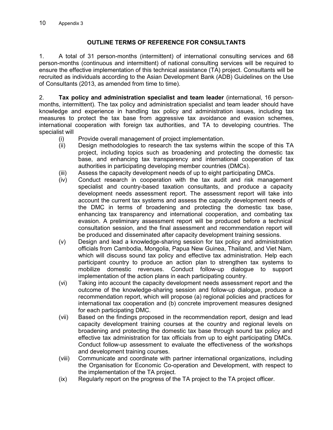# **OUTLINE TERMS OF REFERENCE FOR CONSULTANTS**

1. A total of 31 person-months (intermittent) of international consulting services and 68 person-months (continuous and intermittent) of national consulting services will be required to ensure the effective implementation of this technical assistance (TA) project. Consultants will be recruited as individuals according to the Asian Development Bank (ADB) Guidelines on the Use of Consultants (2013, as amended from time to time).

2. **Tax policy and administration specialist and team leader** (international, 16 personmonths, intermittent). The tax policy and administration specialist and team leader should have knowledge and experience in handling tax policy and administration issues, including tax measures to protect the tax base from aggressive tax avoidance and evasion schemes, international cooperation with foreign tax authorities, and TA to developing countries. The specialist will

- (i) Provide overall management of project implementation.
- (ii) Design methodologies to research the tax systems within the scope of this TA project, including topics such as broadening and protecting the domestic tax base, and enhancing tax transparency and international cooperation of tax authorities in participating developing member countries (DMCs).
- (iii) Assess the capacity development needs of up to eight participating DMCs.
- (iv) Conduct research in cooperation with the tax audit and risk management specialist and country-based taxation consultants, and produce a capacity development needs assessment report. The assessment report will take into account the current tax systems and assess the capacity development needs of the DMC in terms of broadening and protecting the domestic tax base, enhancing tax transparency and international cooperation, and combating tax evasion. A preliminary assessment report will be produced before a technical consultation session, and the final assessment and recommendation report will be produced and disseminated after capacity development training sessions.
- (v) Design and lead a knowledge-sharing session for tax policy and administration officials from Cambodia, Mongolia, Papua New Guinea, Thailand, and Viet Nam, which will discuss sound tax policy and effective tax administration. Help each participant country to produce an action plan to strengthen tax systems to mobilize domestic revenues. Conduct follow-up dialogue to support implementation of the action plans in each participating country.
- (vi) Taking into account the capacity development needs assessment report and the outcome of the knowledge-sharing session and follow-up dialogue, produce a recommendation report, which will propose (a) regional policies and practices for international tax cooperation and (b) concrete improvement measures designed for each participating DMC.
- (vii) Based on the findings proposed in the recommendation report, design and lead capacity development training courses at the country and regional levels on broadening and protecting the domestic tax base through sound tax policy and effective tax administration for tax officials from up to eight participating DMCs. Conduct follow-up assessment to evaluate the effectiveness of the workshops and development training courses.
- (viii) Communicate and coordinate with partner international organizations, including the Organisation for Economic Co-operation and Development, with respect to the implementation of the TA project.
- (ix) Regularly report on the progress of the TA project to the TA project officer.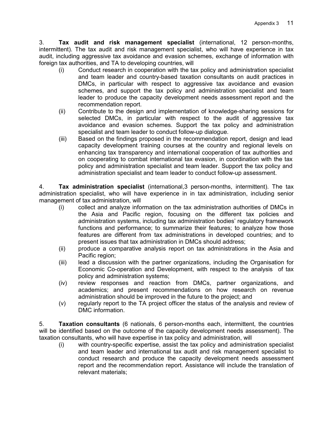3. **Tax audit and risk management specialist** (international, 12 person-months, intermittent). The tax audit and risk management specialist, who will have experience in tax audit, including aggressive tax avoidance and evasion schemes, exchange of information with foreign tax authorities, and TA to developing countries, will

- (i) Conduct research in cooperation with the tax policy and administration specialist and team leader and country-based taxation consultants on audit practices in DMCs, in particular with respect to aggressive tax avoidance and evasion schemes, and support the tax policy and administration specialist and team leader to produce the capacity development needs assessment report and the recommendation report.
- (ii) Contribute to the design and implementation of knowledge-sharing sessions for selected DMCs, in particular with respect to the audit of aggressive tax avoidance and evasion schemes. Support the tax policy and administration specialist and team leader to conduct follow-up dialogue.
- (iii) Based on the findings proposed in the recommendation report, design and lead capacity development training courses at the country and regional levels on enhancing tax transparency and international cooperation of tax authorities and on cooperating to combat international tax evasion, in coordination with the tax policy and administration specialist and team leader. Support the tax policy and administration specialist and team leader to conduct follow-up assessment.

4. **Tax administration specialist** (international,3 person-months, intermittent). The tax administration specialist, who will have experience in in tax administration, including senior management of tax administration, will

- (i) collect and analyze information on the tax administration authorities of DMCs in the Asia and Pacific region, focusing on the different tax policies and administration systems, including tax administration bodies' regulatory framework functions and performance; to summarize their features; to analyze how those features are different from tax administrations in developed countries; and to present issues that tax administration in DMCs should address;
- (ii) produce a comparative analysis report on tax administrations in the Asia and Pacific region;
- (iii) lead a discussion with the partner organizations, including the Organisation for Economic Co-operation and Development, with respect to the analysis of tax policy and administration systems;
- (iv) review responses and reaction from DMCs, partner organizations, and academics; and present recommendations on how research on revenue administration should be improved in the future to the project; and
- (v) regularly report to the TA project officer the status of the analysis and review of DMC information.

5. **Taxation consultants** (6 nationals, 6 person-months each, intermittent, the countries will be identified based on the outcome of the capacity development needs assessment). The taxation consultants, who will have expertise in tax policy and administration, will

(i) with country-specific expertise, assist the tax policy and administration specialist and team leader and international tax audit and risk management specialist to conduct research and produce the capacity development needs assessment report and the recommendation report. Assistance will include the translation of relevant materials;